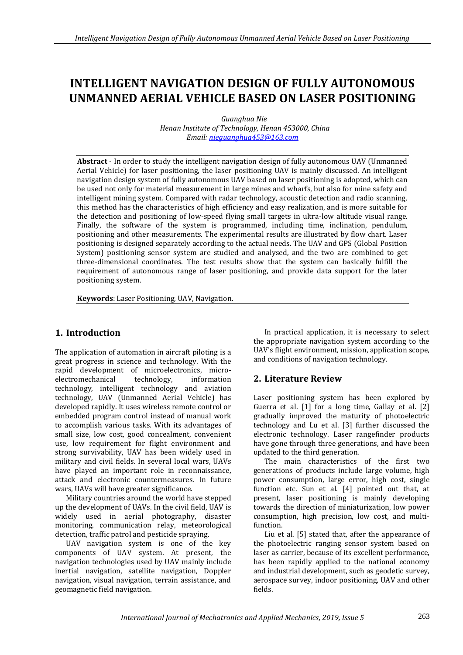# **INTELLIGENT NAVIGATION DESIGN OF FULLY AUTONOMOUS UNMANNED AERIAL VEHICLE BASED ON LASER POSITIONING**

 *Guanghua Nie Henan Institute of Technology, Henan 453000, China Email: [nieguanghua453@163.com](mailto:nieguanghua453@163.com)*

**Abstract** - In order to study the intelligent navigation design of fully autonomous UAV (Unmanned Aerial Vehicle) for laser positioning, the laser positioning UAV is mainly discussed. An intelligent navigation design system of fully autonomous UAV based on laser positioning is adopted, which can be used not only for material measurement in large mines and wharfs, but also for mine safety and intelligent mining system. Compared with radar technology, acoustic detection and radio scanning, this method has the characteristics of high efficiency and easy realization, and is more suitable for the detection and positioning of low-speed flying small targets in ultra-low altitude visual range. Finally, the software of the system is programmed, including time, inclination, pendulum, positioning and other measurements. The experimental results are illustrated by flow chart. Laser positioning is designed separately according to the actual needs. The UAV and GPS (Global Position System) positioning sensor system are studied and analysed, and the two are combined to get three-dimensional coordinates. The test results show that the system can basically fulfill the requirement of autonomous range of laser positioning, and provide data support for the later positioning system.

**Keywords**: Laser Positioning, UAV, Navigation.

# **1. Introduction**

The application of automation in aircraft piloting is a great progress in science and technology. With the rapid development of microelectronics, microelectromechanical technology, information technology, intelligent technology and aviation technology, UAV (Unmanned Aerial Vehicle) has developed rapidly. It uses wireless remote control or embedded program control instead of manual work to accomplish various tasks. With its advantages of small size, low cost, good concealment, convenient use, low requirement for flight environment and strong survivability, UAV has been widely used in military and civil fields. In several local wars, UAVs have played an important role in reconnaissance, attack and electronic countermeasures. In future wars, UAVs will have greater significance.

Military countries around the world have stepped up the development of UAVs. In the civil field, UAV is widely used in aerial photography, disaster monitoring, communication relay, meteorological detection, traffic patrol and pesticide spraying.

UAV navigation system is one of the key components of UAV system. At present, the navigation technologies used by UAV mainly include inertial navigation, satellite navigation, Doppler navigation, visual navigation, terrain assistance, and geomagnetic field navigation.

In practical application, it is necessary to select the appropriate navigation system according to the UAV's flight environment, mission, application scope, and conditions of navigation technology.

# **2. Literature Review**

Laser positioning system has been explored by Guerra et al. [1] for a long time, Gallay et al. [2] gradually improved the maturity of photoelectric technology and Lu et al. [3] further discussed the electronic technology. Laser rangefinder products have gone through three generations, and have been updated to the third generation.

The main characteristics of the first two generations of products include large volume, high power consumption, large error, high cost, single function etc. Sun et al. [4] pointed out that, at present, laser positioning is mainly developing towards the direction of miniaturization, low power consumption, high precision, low cost, and multifunction.

Liu et al. [5] stated that, after the appearance of the photoelectric ranging sensor system based on laser as carrier, because of its excellent performance, has been rapidly applied to the national economy and industrial development, such as geodetic survey, aerospace survey, indoor positioning, UAV and other fields.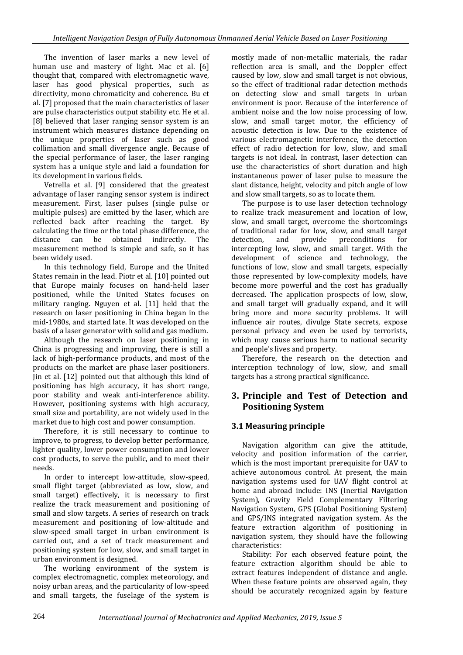The invention of laser marks a new level of human use and mastery of light. Mac et al. [6] thought that, compared with electromagnetic wave, laser has good physical properties, such as directivity, mono chromaticity and coherence. Bu et al. [7] proposed that the main characteristics of laser are pulse characteristics output stability etc. He et al. [8] believed that laser ranging sensor system is an instrument which measures distance depending on the unique properties of laser such as good collimation and small divergence angle. Because of the special performance of laser, the laser ranging system has a unique style and laid a foundation for its development in various fields.

Vetrella et al. [9] considered that the greatest advantage of laser ranging sensor system is indirect measurement. First, laser pulses (single pulse or multiple pulses) are emitted by the laser, which are reflected back after reaching the target. By calculating the time or the total phase difference, the distance can be obtained indirectly. The measurement method is simple and safe, so it has been widely used.

In this technology field, Europe and the United States remain in the lead. Piotr et al. [10] pointed out that Europe mainly focuses on hand-held laser positioned, while the United States focuses on military ranging. Nguyen et al. [11] held that the research on laser positioning in China began in the mid-1980s, and started late. It was developed on the basis of a laser generator with solid and gas medium.

Although the research on laser positioning in China is progressing and improving, there is still a lack of high-performance products, and most of the products on the market are phase laser positioners. Jin et al. [12] pointed out that although this kind of positioning has high accuracy, it has short range, poor stability and weak anti-interference ability. However, positioning systems with high accuracy, small size and portability, are not widely used in the market due to high cost and power consumption.

Therefore, it is still necessary to continue to improve, to progress, to develop better performance, lighter quality, lower power consumption and lower cost products, to serve the public, and to meet their needs.

In order to intercept low-attitude, slow-speed, small flight target (abbreviated as low, slow, and small target) effectively, it is necessary to first realize the track measurement and positioning of small and slow targets. A series of research on track measurement and positioning of low-altitude and slow-speed small target in urban environment is carried out, and a set of track measurement and positioning system for low, slow, and small target in urban environment is designed.

The working environment of the system is complex electromagnetic, complex meteorology, and noisy urban areas, and the particularity of low-speed and small targets, the fuselage of the system is mostly made of non-metallic materials, the radar reflection area is small, and the Doppler effect caused by low, slow and small target is not obvious, so the effect of traditional radar detection methods on detecting slow and small targets in urban environment is poor. Because of the interference of ambient noise and the low noise processing of low, slow, and small target motor, the efficiency of acoustic detection is low. Due to the existence of various electromagnetic interference, the detection effect of radio detection for low, slow, and small targets is not ideal. In contrast, laser detection can use the characteristics of short duration and high instantaneous power of laser pulse to measure the slant distance, height, velocity and pitch angle of low and slow small targets, so as to locate them.

The purpose is to use laser detection technology to realize track measurement and location of low, slow, and small target, overcome the shortcomings of traditional radar for low, slow, and small target detection, and provide preconditions for intercepting low, slow, and small target. With the development of science and technology, the functions of low, slow and small targets, especially those represented by low-complexity models, have become more powerful and the cost has gradually decreased. The application prospects of low, slow, and small target will gradually expand, and it will bring more and more security problems. It will influence air routes, divulge State secrets, expose personal privacy and even be used by terrorists, which may cause serious harm to national security and people's lives and property.

Therefore, the research on the detection and interception technology of low, slow, and small targets has a strong practical significance.

## **3. Principle and Test of Detection and Positioning System**

## **3.1 Measuring principle**

Navigation algorithm can give the attitude, velocity and position information of the carrier, which is the most important prerequisite for UAV to achieve autonomous control. At present, the main navigation systems used for UAV flight control at home and abroad include: INS (Inertial Navigation System), Gravity Field Complementary Filtering Navigation System, GPS (Global Positioning System) and GPS/INS integrated navigation system. As the feature extraction algorithm of positioning in navigation system, they should have the following characteristics:

Stability: For each observed feature point, the feature extraction algorithm should be able to extract features independent of distance and angle. When these feature points are observed again, they should be accurately recognized again by feature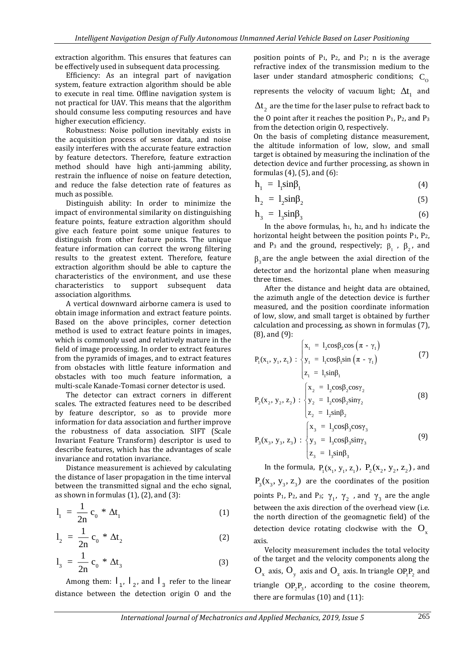extraction algorithm. This ensures that features can be effectively used in subsequent data processing.

Efficiency: As an integral part of navigation system, feature extraction algorithm should be able to execute in real time. Offline navigation system is not practical for UAV. This means that the algorithm should consume less computing resources and have higher execution efficiency.

Robustness: Noise pollution inevitably exists in the acquisition process of sensor data, and noise easily interferes with the accurate feature extraction by feature detectors. Therefore, feature extraction method should have high anti-jamming ability, restrain the influence of noise on feature detection, and reduce the false detection rate of features as much as possible.

Distinguish ability: In order to minimize the impact of environmental similarity on distinguishing feature points, feature extraction algorithm should give each feature point some unique features to distinguish from other feature points. The unique feature information can correct the wrong filtering results to the greatest extent. Therefore, feature extraction algorithm should be able to capture the characteristics of the environment, and use these characteristics to support subsequent data association algorithms.

A vertical downward airborne camera is used to obtain image information and extract feature points. Based on the above principles, corner detection method is used to extract feature points in images, which is commonly used and relatively mature in the field of image processing. In order to extract features from the pyramids of images, and to extract features from obstacles with little feature information and obstacles with too much feature information, a multi-scale Kanade-Tomasi corner detector is used.

The detector can extract corners in different scales. The extracted features need to be described by feature descriptor, so as to provide more information for data association and further improve the robustness of data association. SIFT (Scale Invariant Feature Transform) descriptor is used to describe features, which has the advantages of scale invariance and rotation invariance.

Distance measurement is achieved by calculating the distance of laser propagation in the time interval between the transmitted signal and the echo signal, as shown in formulas  $(1)$ ,  $(2)$ , and  $(3)$ :

$$
l_1 = \frac{1}{2n} c_0 * \Delta t_1
$$
 (1)

$$
l_2 = \frac{1}{2n} c_0 * \Delta t_2
$$
 (2)

$$
l_3 = \frac{1}{2n} c_0 * \Delta t_3
$$
 (3)

Among them:  $I_1$ ,  $I_2$ , and  $I_3$  refer to the linear distance between the detection origin O and the

position points of  $P_1$ ,  $P_2$ , and  $P_3$ ; n is the average refractive index of the transmission medium to the laser under standard atmospheric conditions;  $C_0$ 

represents the velocity of vacuum light;  $\Delta t_1$  and

 $\Delta \mathfrak{t}_{_2}$  are the time for the laser pulse to refract back to

the O point after it reaches the position  $P_1$ ,  $P_2$ , and  $P_3$ from the detection origin O, respectively.

On the basis of completing distance measurement, the altitude information of low, slow, and small target is obtained by measuring the inclination of the detection device and further processing, as shown in formulas (4), (5), and (6):

$$
h_1 = 1_1 \sin \beta_1 \tag{4}
$$

$$
h_2 = l_2 \sin \beta_2 \tag{5}
$$

$$
h_3 = 1_3 \sin \beta_3 \tag{6}
$$

In the above formulas,  $h_1$ ,  $h_2$ , and  $h_3$  indicate the horizontal height between the position points  $P_1$ ,  $P_2$ , and P<sub>3</sub> and the ground, respectively;  $\beta_1$ ,  $\beta_2$ , and  $\beta_3$  are the angle between the axial direction of the detector and the horizontal plane when measuring three times.

After the distance and height data are obtained, the azimuth angle of the detection device is further measured, and the position coordinate information of low, slow, and small target is obtained by further calculation and processing, as shown in formulas (7), (8), and (9):

$$
P_{1}(x_{1}, y_{1}, z_{1}) : \begin{cases} x_{1} = 1_{2}cos\beta_{2}cos(\pi - \gamma_{1}) \\ y_{1} = 1_{1}cos\beta_{1}sin(\pi - \gamma_{1}) \\ z_{1} = 1_{1}sin\beta_{1} \end{cases}
$$
(7)  

$$
P_{2}(x_{2}, y_{2}, z_{2}) : \begin{cases} x_{2} = 1_{2}cos\beta_{2}cos\gamma_{2} \\ y_{2} = 1_{2}cos\beta_{2}sin\gamma_{2} \\ z_{2} = 1_{2}sin\beta_{2} \end{cases}
$$
(8)  

$$
P_{2}(x_{2}, y_{2}, z_{2}) : \begin{cases} x_{3} = 1_{3}cos\beta_{3}cos\gamma_{3} \\ y_{2} = 1_{2}cos\beta_{2}sin\gamma_{2} \end{cases}
$$
(9)

3 3 3 3 3 3 3 3 3  $3^{511}F_3$  $P_3(x_3, y_3, z_3)$  :  $\{y_3 = 1, \cos\beta_3 \sin\gamma\}$  $z_2 = 1$ <sub>3</sub>sin $\beta$ ∤ L l

In the formula,  $P_1(x_1, y_1, z_1)$ ,  $P_2(x_2, y_2, z_2)$ , and  $P_3(x_3, y_3, z_3)$  are the coordinates of the position points P<sub>1</sub>, P<sub>2</sub>, and P<sub>3</sub>;  $\gamma_1$ ,  $\gamma_2$ , and  $\gamma_3$  are the angle between the axis direction of the overhead view (i.e. the north direction of the geomagnetic field) of the detection device rotating clockwise with the  $O_{\rm x}$ axis.

Velocity measurement includes the total velocity of the target and the velocity components along the  $\rm O_x$  axis,  $\rm O_y$  axis and  $\rm O_z$  axis. In triangle  $\rm OP_iP_2$  and triangle  $OP_2P_3$ , according to the cosine theorem, there are formulas (10) and (11):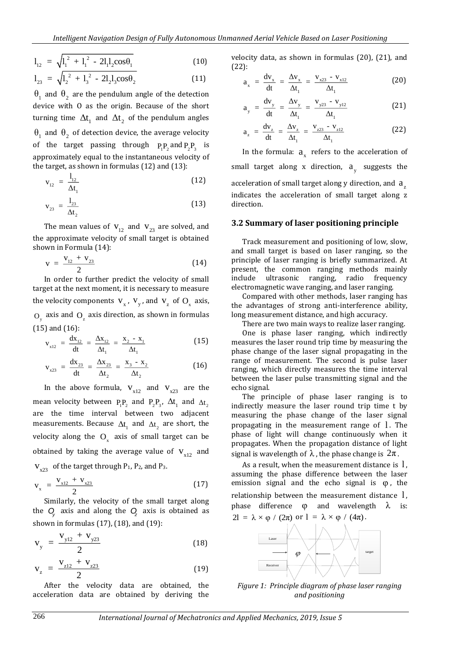$$
l_{12} = \sqrt{l_1^2 + l_1^2 - 2l_1l_2\cos\theta_1}
$$
 (10)

$$
l_{23} = \sqrt{l_2^2 + l_3^2 - 2l_2l_3\cos\theta_2}
$$
 (11)

 $\theta_1$  and  $\theta_2$  are the pendulum angle of the detection device with O as the origin. Because of the short turning time  $\Delta t_1$  and  $\Delta t_2$  of the pendulum angles  $\theta_1$  and  $\theta_2$  of detection device, the average velocity of the target passing through  $P_1P_2$  and  $P_2P_3$  is approximately equal to the instantaneous velocity of the target, as shown in formulas (12) and (13):

$$
v_{12} = \frac{l_{12}}{\Delta t_1}
$$
 (12)

$$
v_{23} = \frac{1_{23}}{\Delta t_2}
$$
 (13)

The mean values of  $V_{12}$  and  $V_{23}$  are solved, and the approximate velocity of small target is obtained shown in Formula (14):

$$
v = \frac{v_{12} + v_{23}}{2}
$$
 (14)

In order to further predict the velocity of small target at the next moment, it is necessary to measure the velocity components  $V_x$ ,  $V_y$ , and  $V_z$  of  $O_x$  axis,  $O_y$  axis and  $O_z$  axis direction, as shown in formulas (15) and (16):

$$
v_{x12} = \frac{dx_{12}}{dt} = \frac{\Delta x_{12}}{\Delta t_1} = \frac{x_2 - x_1}{\Delta t_1}
$$
 (15)

$$
v_{x23} = \frac{dx_{23}}{dt} = \frac{\Delta x_{23}}{\Delta t_2} = \frac{x_3 - x_2}{\Delta t_2}
$$
 (16)

In the above formula,  $V_{x12}$  and  $V_{x23}$  are the mean velocity between  $P_1P_2$  and  $P_2P_3$ ,  $\Delta t_1$  and  $\Delta t_2$ are the time interval between two adjacent measurements. Because  $\Delta t_1$  and  $\Delta t_2$  are short, the velocity along the  $O_x$  axis of small target can be obtained by taking the average value of  $V_{x12}$  and  $V_{x23}$  of the target through P<sub>1</sub>, P<sub>2</sub>, and P<sub>3</sub>.

$$
v_x = \frac{v_{x12} + v_{x23}}{2}
$$
 (17)

Similarly, the velocity of the small target along the  $Q$ <sub>*z*</sub> axis and along the  $Q$ <sub>*z*</sub> axis is obtained as shown in formulas (17), (18), and (19):

$$
v_{y} = \frac{v_{y12} + v_{y23}}{2}
$$
 (18)

$$
v_{z} = \frac{v_{z12} + v_{z23}}{2}
$$
 (19)

After the velocity data are obtained, the acceleration data are obtained by deriving the velocity data, as shown in formulas (20), (21), and (22):

$$
a_x = \frac{dv_x}{dt} = \frac{\Delta v_x}{\Delta t_1} = \frac{v_{x23} - v_{x12}}{\Delta t_1}
$$
 (20)

$$
a_{y} = \frac{dv_{y}}{dt} = \frac{\Delta v_{y}}{\Delta t_{1}} = \frac{v_{y23} - v_{y12}}{\Delta t_{1}}
$$
 (21)

$$
a_{z} = \frac{dv_{z}}{dt} = \frac{\Delta v_{z}}{\Delta t_{1}} = \frac{v_{z23} - v_{z12}}{\Delta t_{1}}
$$
 (22)

In the formula:  $a_x$  refers to the acceleration of small target along x direction,  $a_y$  suggests the acceleration of small target along y direction, and  $a_{\rm z}$ indicates the acceleration of small target along z direction.

#### **3.2 Summary of laser positioning principle**

Track measurement and positioning of low, slow, and small target is based on laser ranging, so the principle of laser ranging is briefly summarized. At present, the common ranging methods mainly include ultrasonic ranging, radio frequency electromagnetic wave ranging, and laser ranging.

Compared with other methods, laser ranging has the advantages of strong anti-interference ability, long measurement distance, and high accuracy.

There are two main ways to realize laser ranging. One is phase laser ranging, which indirectly

measures the laser round trip time by measuring the phase change of the laser signal propagating in the range of measurement. The second is pulse laser ranging, which directly measures the time interval between the laser pulse transmitting signal and the echo signal.

The principle of phase laser ranging is to indirectly measure the laser round trip time t by measuring the phase change of the laser signal propagating in the measurement range of l . The phase of light will change continuously when it propagates. When the propagation distance of light signal is wavelength of  $\lambda$  , the phase change is  $2\pi$  .

As a result, when the measurement distance is  $l$ , assuming the phase difference between the laser emission signal and the echo signal is  $\varphi$ , the relationship between the measurement distance l , phase difference  $\varphi$  and wavelength λ is:  $2l = \lambda \times \varphi / (2\pi)$  or  $l = \lambda \times \varphi / (4\pi)$ .



*Figure 1: Principle diagram of phase laser ranging and positioning*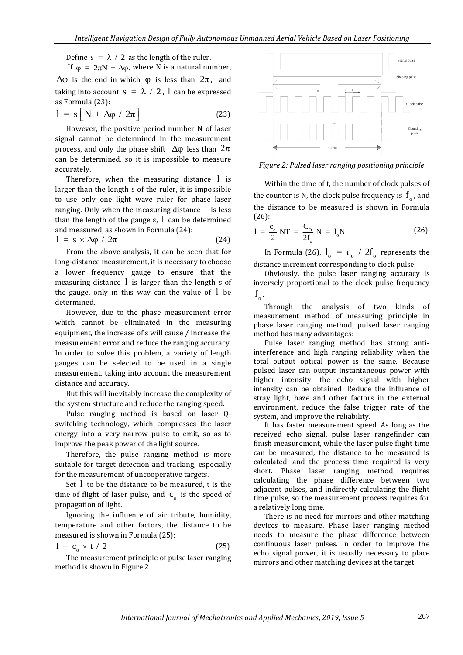Define  $s = \lambda / 2$  as the length of the ruler.

If  $\varphi = 2\pi N + \Delta \varphi$ , where N is a natural number,  $Δφ$  is the end in which  $φ$  is less than  $2π$ , and taking into account  $s = \lambda / 2$  , 1 can be expressed as Formula (23):

$$
1 = s [N + \Delta \varphi / 2\pi]
$$
 (23)

However, the positive period number N of laser signal cannot be determined in the measurement process, and only the phase shift  $\Delta\varphi$  less than  $2\pi$ can be determined, so it is impossible to measure accurately.

Therefore, when the measuring distance l is larger than the length s of the ruler, it is impossible to use only one light wave ruler for phase laser ranging. Only when the measuring distance l is less than the length of the gauge s, l can be determined and measured, as shown in Formula (24):

$$
1 = s \times \Delta \varphi / 2\pi \tag{24}
$$

From the above analysis, it can be seen that for long-distance measurement, it is necessary to choose a lower frequency gauge to ensure that the measuring distance l is larger than the length s of the gauge, only in this way can the value of l be determined.

However, due to the phase measurement error which cannot be eliminated in the measuring equipment, the increase of s will cause / increase the measurement error and reduce the ranging accuracy. In order to solve this problem, a variety of length gauges can be selected to be used in a single measurement, taking into account the measurement distance and accuracy.

But this will inevitably increase the complexity of the system structure and reduce the ranging speed.

Pulse ranging method is based on laser Qswitching technology, which compresses the laser energy into a very narrow pulse to emit, so as to improve the peak power of the light source.

Therefore, the pulse ranging method is more suitable for target detection and tracking, especially for the measurement of uncooperative targets.

Set l to be the distance to be measured, t is the time of flight of laser pulse, and  $c_{o}$  is the speed of propagation of light.

Ignoring the influence of air tribute, humidity, temperature and other factors, the distance to be measured is shown in Formula (25):

$$
1 = c_{0} \times t / 2 \tag{25}
$$

The measurement principle of pulse laser ranging method is shown in Figure 2.



*Figure 2: Pulsed laser ranging positioning principle*

Within the time of t, the number of clock pulses of the counter is N, the clock pulse frequency is  $f_{o}$ , and the distance to be measured is shown in Formula (26):

$$
1 = \frac{c_{o}}{2} NT = \frac{C_{o}}{2f_{o}} N = 1_{o} N
$$
 (26)

In Formula (26),  $l_o = c_o / 2f_o$  represents the distance increment corresponding to clock pulse.

Obviously, the pulse laser ranging accuracy is inversely proportional to the clock pulse frequency  $f_{\circ}$  .

Through the analysis of two kinds of measurement method of measuring principle in phase laser ranging method, pulsed laser ranging method has many advantages:

Pulse laser ranging method has strong antiinterference and high ranging reliability when the total output optical power is the same. Because pulsed laser can output instantaneous power with higher intensity, the echo signal with higher intensity can be obtained. Reduce the influence of stray light, haze and other factors in the external environment, reduce the false trigger rate of the system, and improve the reliability.

It has faster measurement speed. As long as the received echo signal, pulse laser rangefinder can finish measurement, while the laser pulse flight time can be measured, the distance to be measured is calculated, and the process time required is very short. Phase laser ranging method requires calculating the phase difference between two adjacent pulses, and indirectly calculating the flight time pulse, so the measurement process requires for a relatively long time.

There is no need for mirrors and other matching devices to measure. Phase laser ranging method needs to measure the phase difference between continuous laser pulses. In order to improve the echo signal power, it is usually necessary to place mirrors and other matching devices at the target.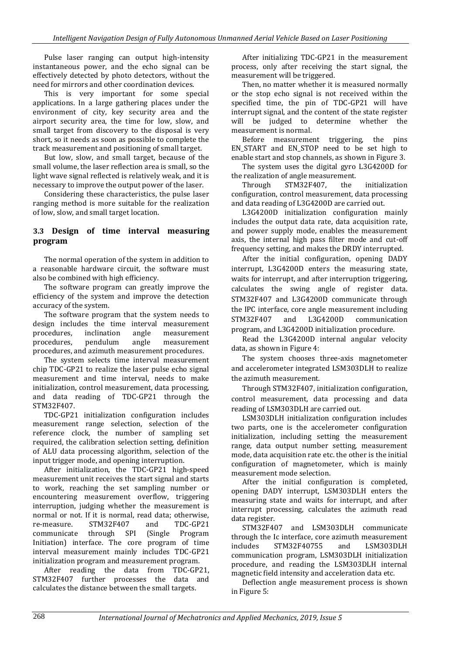Pulse laser ranging can output high-intensity instantaneous power, and the echo signal can be effectively detected by photo detectors, without the need for mirrors and other coordination devices.

This is very important for some special applications. In a large gathering places under the environment of city, key security area and the airport security area, the time for low, slow, and small target from discovery to the disposal is very short, so it needs as soon as possible to complete the track measurement and positioning of small target.

But low, slow, and small target, because of the small volume, the laser reflection area is small, so the light wave signal reflected is relatively weak, and it is necessary to improve the output power of the laser.

Considering these characteristics, the pulse laser ranging method is more suitable for the realization of low, slow, and small target location.

#### **3.3 Design of time interval measuring program**

The normal operation of the system in addition to a reasonable hardware circuit, the software must also be combined with high efficiency.

The software program can greatly improve the efficiency of the system and improve the detection accuracy of the system.

The software program that the system needs to design includes the time interval measurement procedures, inclination angle measurement procedures, pendulum angle measurement procedures, and azimuth measurement procedures.

The system selects time interval measurement chip TDC-GP21 to realize the laser pulse echo signal measurement and time interval, needs to make initialization, control measurement, data processing, and data reading of TDC-GP21 through the STM32F407.

TDC-GP21 initialization configuration includes measurement range selection, selection of the reference clock, the number of sampling set required, the calibration selection setting, definition of ALU data processing algorithm, selection of the input trigger mode, and opening interruption.

After initialization, the TDC-GP21 high-speed measurement unit receives the start signal and starts to work, reaching the set sampling number or encountering measurement overflow, triggering interruption, judging whether the measurement is normal or not. If it is normal, read data; otherwise, re-measure. STM32F407 and TDC-GP21 communicate through SPI (Single Program Initiation) interface. The core program of time interval measurement mainly includes TDC-GP21 initialization program and measurement program.

After reading the data from TDC-GP21, STM32F407 further processes the data and calculates the distance between the small targets.

After initializing TDC-GP21 in the measurement process, only after receiving the start signal, the measurement will be triggered.

Then, no matter whether it is measured normally or the stop echo signal is not received within the specified time, the pin of TDC-GP21 will have interrupt signal, and the content of the state register will be judged to determine whether the measurement is normal.

Before measurement triggering, the pins EN\_START and EN\_STOP need to be set high to enable start and stop channels, as shown in Figure 3.

The system uses the digital gyro L3G4200D for the realization of angle measurement.

Through STM32F407, the initialization configuration, control measurement, data processing and data reading of L3G4200D are carried out.

L3G4200D initialization configuration mainly includes the output data rate, data acquisition rate, and power supply mode, enables the measurement axis, the internal high pass filter mode and cut-off frequency setting, and makes the DRDY interrupted.

After the initial configuration, opening DADY interrupt, L3G4200D enters the measuring state, waits for interrupt, and after interruption triggering, calculates the swing angle of register data. STM32F407 and L3G4200D communicate through the IPC interface, core angle measurement including STM32F407 and L3G4200D communication program, and L3G4200D initialization procedure.

Read the L3G4200D internal angular velocity data, as shown in Figure 4:

The system chooses three-axis magnetometer and accelerometer integrated LSM303DLH to realize the azimuth measurement.

Through STM32F407, initialization configuration, control measurement, data processing and data reading of LSM303DLH are carried out.

LSM303DLH initialization configuration includes two parts, one is the accelerometer configuration initialization, including setting the measurement range, data output number setting, measurement mode, data acquisition rate etc. the other is the initial configuration of magnetometer, which is mainly measurement mode selection.

After the initial configuration is completed, opening DADY interrupt, LSM303DLH enters the measuring state and waits for interrupt, and after interrupt processing, calculates the azimuth read data register.

STM32F407 and LSM303DLH communicate through the Ic interface, core azimuth measurement includes STM32F40755 and LSM303DLH communication program, LSM303DLH initialization procedure, and reading the LSM303DLH internal magnetic field intensity and acceleration data etc.

Deflection angle measurement process is shown in Figure 5: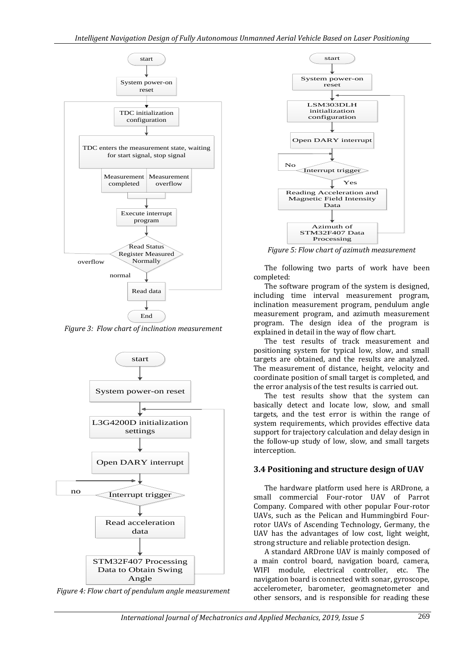

*Figure 3: Flow chart of inclination measurement*



*Figure 4: Flow chart of pendulum angle measurement*



*Figure 5: Flow chart of azimuth measurement*

The following two parts of work have been completed:

The software program of the system is designed, including time interval measurement program, inclination measurement program, pendulum angle measurement program, and azimuth measurement program. The design idea of the program is explained in detail in the way of flow chart.

The test results of track measurement and positioning system for typical low, slow, and small targets are obtained, and the results are analyzed. The measurement of distance, height, velocity and coordinate position of small target is completed, and the error analysis of the test results is carried out.

The test results show that the system can basically detect and locate low, slow, and small targets, and the test error is within the range of system requirements, which provides effective data support for trajectory calculation and delay design in the follow-up study of low, slow, and small targets interception.

#### **3.4 Positioning and structure design of UAV**

The hardware platform used here is ARDrone, a small commercial Four-rotor UAV of Parrot Company. Compared with other popular Four-rotor UAVs, such as the Pelican and Hummingbird Fourrotor UAVs of Ascending Technology, Germany, the UAV has the advantages of low cost, light weight, strong structure and reliable protection design.

A standard ARDrone UAV is mainly composed of a main control board, navigation board, camera, WIFI module, electrical controller, etc. The navigation board is connected with sonar, gyroscope, accelerometer, barometer, geomagnetometer and other sensors, and is responsible for reading these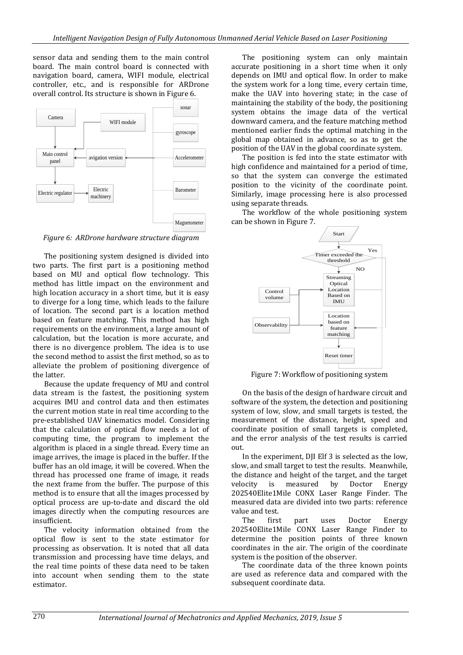sensor data and sending them to the main control board. The main control board is connected with navigation board, camera, WIFI module, electrical controller, etc., and is responsible for ARDrone overall control. Its structure is shown in Figure 6.



*Figure 6: ARDrone hardware structure diagram*

The positioning system designed is divided into two parts. The first part is a positioning method based on MU and optical flow technology. This method has little impact on the environment and high location accuracy in a short time, but it is easy to diverge for a long time, which leads to the failure of location. The second part is a location method based on feature matching. This method has high requirements on the environment, a large amount of calculation, but the location is more accurate, and there is no divergence problem. The idea is to use the second method to assist the first method, so as to alleviate the problem of positioning divergence of the latter.

Because the update frequency of MU and control data stream is the fastest, the positioning system acquires IMU and control data and then estimates the current motion state in real time according to the pre-established UAV kinematics model. Considering that the calculation of optical flow needs a lot of computing time, the program to implement the algorithm is placed in a single thread. Every time an image arrives, the image is placed in the buffer. If the buffer has an old image, it will be covered. When the thread has processed one frame of image, it reads the next frame from the buffer. The purpose of this method is to ensure that all the images processed by optical process are up-to-date and discard the old images directly when the computing resources are insufficient.

The velocity information obtained from the optical flow is sent to the state estimator for processing as observation. It is noted that all data transmission and processing have time delays, and the real time points of these data need to be taken into account when sending them to the state estimator.

The positioning system can only maintain accurate positioning in a short time when it only depends on IMU and optical flow. In order to make the system work for a long time, every certain time, make the UAV into hovering state; in the case of maintaining the stability of the body, the positioning system obtains the image data of the vertical downward camera, and the feature matching method mentioned earlier finds the optimal matching in the global map obtained in advance, so as to get the position of the UAV in the global coordinate system.

The position is fed into the state estimator with high confidence and maintained for a period of time, so that the system can converge the estimated position to the vicinity of the coordinate point. Similarly, image processing here is also processed using separate threads.

The workflow of the whole positioning system can be shown in Figure 7.



Figure 7: Workflow of positioning system

On the basis of the design of hardware circuit and software of the system, the detection and positioning system of low, slow, and small targets is tested, the measurement of the distance, height, speed and coordinate position of small targets is completed, and the error analysis of the test results is carried out.

In the experiment, DJI Elf 3 is selected as the low, slow, and small target to test the results. Meanwhile, the distance and height of the target, and the target velocity is measured by Doctor Energy 202540Elite1Mile CONX Laser Range Finder. The measured data are divided into two parts: reference value and test.

The first part uses Doctor Energy 202540Elite1Mile CONX Laser Range Finder to determine the position points of three known coordinates in the air. The origin of the coordinate system is the position of the observer.

The coordinate data of the three known points are used as reference data and compared with the subsequent coordinate data.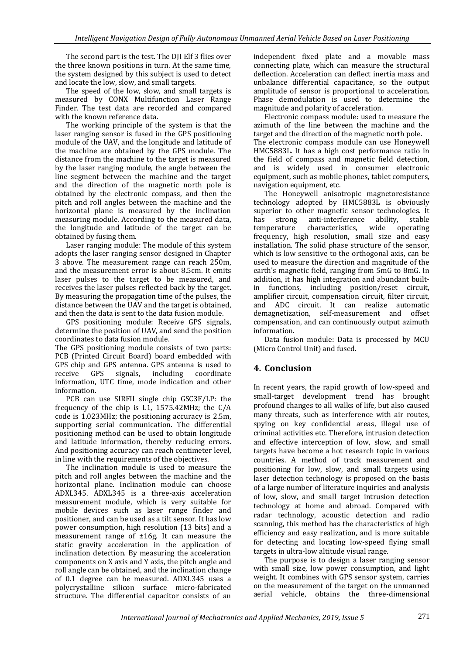The second part is the test. The DJI Elf 3 flies over the three known positions in turn. At the same time, the system designed by this subject is used to detect and locate the low, slow, and small targets.

The speed of the low, slow, and small targets is measured by CONX Multifunction Laser Range Finder. The test data are recorded and compared with the known reference data.

The working principle of the system is that the laser ranging sensor is fused in the GPS positioning module of the UAV, and the longitude and latitude of the machine are obtained by the GPS module. The distance from the machine to the target is measured by the laser ranging module, the angle between the line segment between the machine and the target and the direction of the magnetic north pole is obtained by the electronic compass, and then the pitch and roll angles between the machine and the horizontal plane is measured by the inclination measuring module. According to the measured data, the longitude and latitude of the target can be obtained by fusing them.

Laser ranging module: The module of this system adopts the laser ranging sensor designed in Chapter 3 above. The measurement range can reach 250m, and the measurement error is about 8.5cm. It emits laser pulses to the target to be measured, and receives the laser pulses reflected back by the target. By measuring the propagation time of the pulses, the distance between the UAV and the target is obtained, and then the data is sent to the data fusion module.

GPS positioning module: Receive GPS signals, determine the position of UAV, and send the position coordinates to data fusion module.

The GPS positioning module consists of two parts: PCB (Printed Circuit Board) board embedded with GPS chip and GPS antenna. GPS antenna is used to receive GPS signals, including coordinate information, UTC time, mode indication and other information.

PCB can use SIRFII single chip GSC3F/LP: the frequency of the chip is L1, 1575.42MHz; the C/A code is 1.023MHz; the positioning accuracy is 2.5m, supporting serial communication. The differential positioning method can be used to obtain longitude and latitude information, thereby reducing errors. And positioning accuracy can reach centimeter level, in line with the requirements of the objectives.

The inclination module is used to measure the pitch and roll angles between the machine and the horizontal plane. Inclination module can choose ADXL345. ADXL345 is a three-axis acceleration measurement module, which is very suitable for mobile devices such as laser range finder and positioner, and can be used as a tilt sensor. It has low power consumption, high resolution (13 bits) and a measurement range of ±16g. It can measure the static gravity acceleration in the application of inclination detection. By measuring the acceleration components on X axis and Y axis, the pitch angle and roll angle can be obtained, and the inclination change of 0.1 degree can be measured. ADXL345 uses a polycrystalline silicon surface micro-fabricated structure. The differential capacitor consists of an

independent fixed plate and a movable mass connecting plate, which can measure the structural deflection. Acceleration can deflect inertia mass and unbalance differential capacitance, so the output amplitude of sensor is proportional to acceleration. Phase demodulation is used to determine the magnitude and polarity of acceleration.

Electronic compass module: used to measure the azimuth of the line between the machine and the target and the direction of the magnetic north pole. The electronic compass module can use Honeywell HMC5883L. It has a high cost performance ratio in the field of compass and magnetic field detection, and is widely used in consumer electronic equipment, such as mobile phones, tablet computers, navigation equipment, etc.

The Honeywell anisotropic magnetoresistance technology adopted by HMC5883L is obviously superior to other magnetic sensor technologies. It has strong anti-interference ability, stable<br>temperature characteristics, wide operating  $characteristics, \quad wide\quad operating$ frequency, high resolution, small size and easy installation. The solid phase structure of the sensor, which is low sensitive to the orthogonal axis, can be used to measure the direction and magnitude of the earth's magnetic field, ranging from 5mG to 8mG. In addition, it has high integration and abundant builtin functions, including position/reset circuit, amplifier circuit, compensation circuit, filter circuit, and ADC circuit. It can realize automatic demagnetization, self-measurement and offset compensation, and can continuously output azimuth information.

Data fusion module: Data is processed by MCU (Micro Control Unit) and fused.

# **4. Conclusion**

In recent years, the rapid growth of low-speed and small-target development trend has brought profound changes to all walks of life, but also caused many threats, such as interference with air routes, spying on key confidential areas, illegal use of criminal activities etc. Therefore, intrusion detection and effective interception of low, slow, and small targets have become a hot research topic in various countries. A method of track measurement and positioning for low, slow, and small targets using laser detection technology is proposed on the basis of a large number of literature inquiries and analysis of low, slow, and small target intrusion detection technology at home and abroad. Compared with radar technology, acoustic detection and radio scanning, this method has the characteristics of high efficiency and easy realization, and is more suitable for detecting and locating low-speed flying small targets in ultra-low altitude visual range.

The purpose is to design a laser ranging sensor with small size, low power consumption, and light weight. It combines with GPS sensor system, carries on the measurement of the target on the unmanned aerial vehicle, obtains the three-dimensional